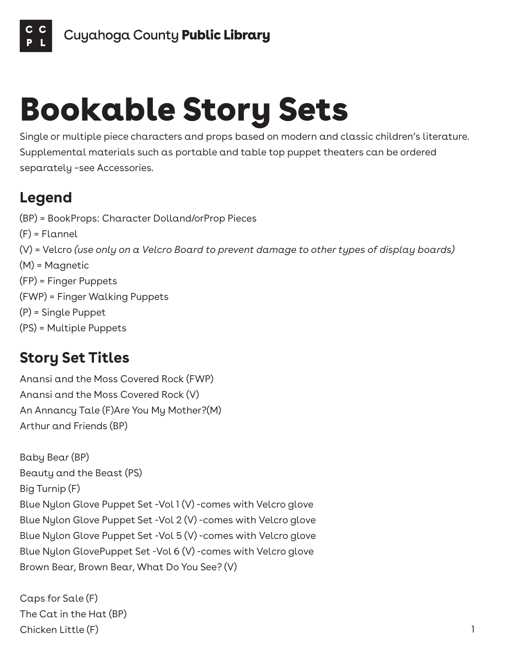

## Bookable Story Sets

Single or multiple piece characters and props based on modern and classic children's literature. Supplemental materials such as portable and table top puppet theaters can be ordered separately –see Accessories.

## **Legend**

(BP) = BookProps: Character Dolland/orProp Pieces (F) = Flannel (V) = Velcro *(use only on a Velcro Board to prevent damage to other types of display boards)* (M) = Magnetic (FP) = Finger Puppets (FWP) = Finger Walking Puppets (P) = Single Puppet (PS) = Multiple Puppets

## **Story Set Titles**

Anansi and the Moss Covered Rock (FWP) Anansi and the Moss Covered Rock (V) An Annancy Tale (F)Are You My Mother?(M) Arthur and Friends (BP)

Baby Bear (BP) Beauty and the Beast (PS) Big Turnip (F) Blue Nylon Glove Puppet Set -Vol 1 (V) -comes with Velcro glove Blue Nylon Glove Puppet Set -Vol 2 (V) -comes with Velcro glove Blue Nylon Glove Puppet Set -Vol 5 (V) -comes with Velcro glove Blue Nylon GlovePuppet Set -Vol 6 (V) -comes with Velcro glove Brown Bear, Brown Bear, What Do You See? (V)

Caps for Sale (F) The Cat in the Hat (BP) Chicken Little (F) 1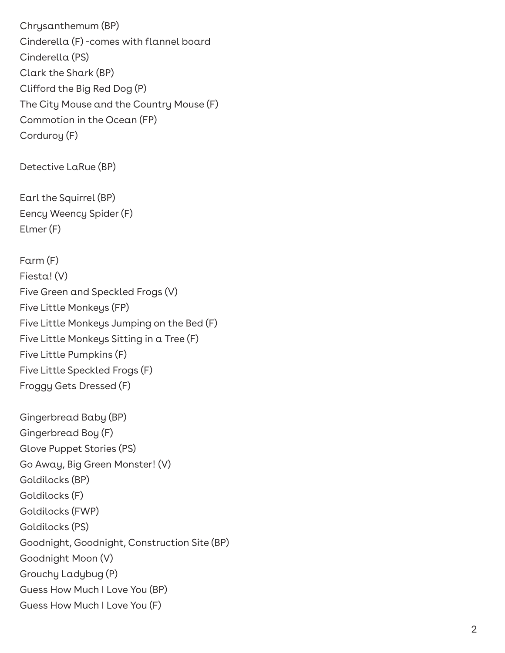Chrysanthemum (BP) Cinderella (F) -comes with flannel board Cinderella (PS) Clark the Shark (BP) Clifford the Big Red Dog (P) The City Mouse and the Country Mouse (F) Commotion in the Ocean (FP) Corduroy (F)

Detective LaRue (BP)

Earl the Squirrel (BP) Eency Weency Spider (F) Elmer (F)

Farm (F) Fiesta! (V) Five Green and Speckled Frogs (V) Five Little Monkeys (FP) Five Little Monkeys Jumping on the Bed (F) Five Little Monkeys Sitting in a Tree (F) Five Little Pumpkins (F) Five Little Speckled Frogs (F) Froggy Gets Dressed (F)

Gingerbread Baby (BP) Gingerbread Boy (F) Glove Puppet Stories (PS) Go Away, Big Green Monster! (V) Goldilocks (BP) Goldilocks (F) Goldilocks (FWP) Goldilocks (PS) Goodnight, Goodnight, Construction Site (BP) Goodnight Moon (V) Grouchy Ladybug (P) Guess How Much I Love You (BP) Guess How Much I Love You (F)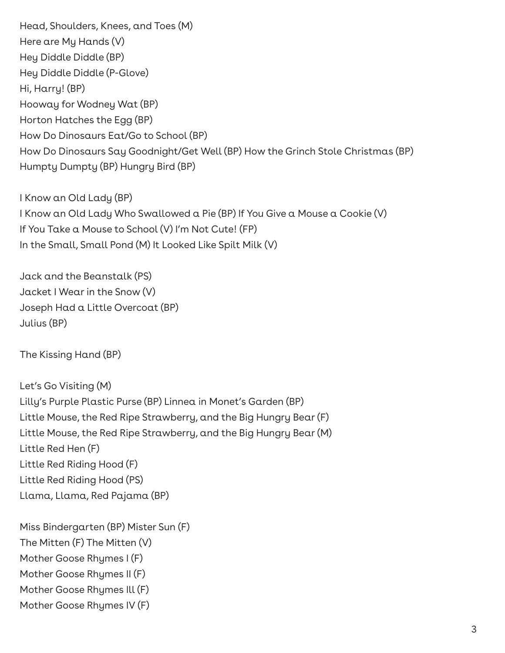Head, Shoulders, Knees, and Toes (M) Here are My Hands (V) Hey Diddle Diddle (BP) Hey Diddle Diddle (P-Glove) Hi, Harry! (BP) Hooway for Wodney Wat (BP) Horton Hatches the Egg (BP) How Do Dinosaurs Eat/Go to School (BP) How Do Dinosaurs Say Goodnight/Get Well (BP) How the Grinch Stole Christmas (BP) Humpty Dumpty (BP) Hungry Bird (BP)

I Know an Old Lady (BP) I Know an Old Lady Who Swallowed a Pie (BP) If You Give a Mouse a Cookie (V) If You Take a Mouse to School (V) I'm Not Cute! (FP) In the Small, Small Pond (M) It Looked Like Spilt Milk (V)

Jack and the Beanstalk (PS) Jacket I Wear in the Snow (V) Joseph Had a Little Overcoat (BP) Julius (BP)

The Kissing Hand (BP)

Let's Go Visiting (M) Lilly's Purple Plastic Purse (BP) Linnea in Monet's Garden (BP) Little Mouse, the Red Ripe Strawberry, and the Big Hungry Bear (F) Little Mouse, the Red Ripe Strawberry, and the Big Hungry Bear (M) Little Red Hen (F) Little Red Riding Hood (F) Little Red Riding Hood (PS) Llama, Llama, Red Pajama (BP)

Miss Bindergarten (BP) Mister Sun (F) The Mitten (F) The Mitten (V) Mother Goose Rhymes I (F) Mother Goose Rhymes II (F) Mother Goose Rhymes Ill (F) Mother Goose Rhymes IV (F)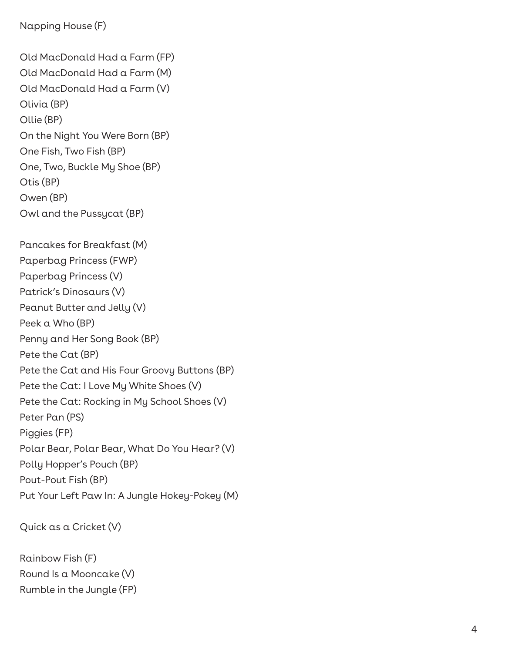```
Napping House (F)
```
Old MacDonald Had a Farm (FP) Old MacDonald Had a Farm (M) Old MacDonald Had a Farm (V) Olivia (BP) Ollie (BP) On the Night You Were Born (BP) One Fish, Two Fish (BP) One, Two, Buckle My Shoe (BP) Otis (BP) Owen (BP) Owl and the Pussycat (BP)

Pancakes for Breakfast (M) Paperbag Princess (FWP) Paperbag Princess (V) Patrick's Dinosaurs (V) Peanut Butter and Jelly (V) Peek a Who (BP) Penny and Her Song Book (BP) Pete the Cat (BP) Pete the Cat and His Four Groovy Buttons (BP) Pete the Cat: I Love My White Shoes (V) Pete the Cat: Rocking in My School Shoes (V) Peter Pan (PS) Piggies (FP) Polar Bear, Polar Bear, What Do You Hear? (V) Polly Hopper's Pouch (BP) Pout-Pout Fish (BP) Put Your Left Paw In: A Jungle Hokey-Pokey (M)

```
Quick as a Cricket (V)
```
Rainbow Fish (F) Round Is a Mooncake (V) Rumble in the Jungle (FP)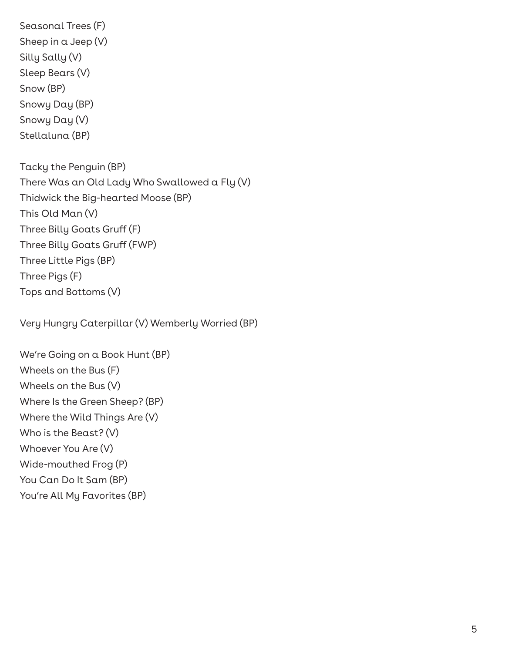Seasonal Trees (F) Sheep in a Jeep (V) Silly Sally (V) Sleep Bears (V) Snow (BP) Snowy Day (BP) Snowy Day (V) Stellaluna (BP) Tacky the Penguin (BP) There Was an Old Lady Who Swallowed a Fly (V) Thidwick the Big-hearted Moose (BP) This Old Man (V) Three Billy Goats Gruff (F) Three Billy Goats Gruff (FWP) Three Little Pigs (BP) Three Pigs (F)

Tops and Bottoms (V)

Very Hungry Caterpillar (V) Wemberly Worried (BP)

We're Going on a Book Hunt (BP) Wheels on the Bus (F) Wheels on the Bus (V) Where Is the Green Sheep? (BP) Where the Wild Things Are (V) Who is the Beast? (V) Whoever You Are (V) Wide-mouthed Frog (P) You Can Do It Sam (BP) You're All My Favorites (BP)